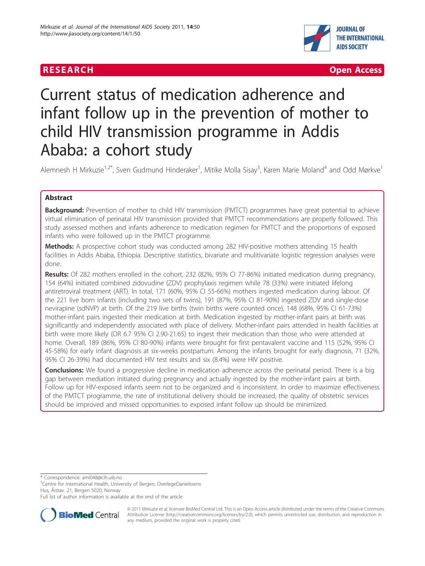

**RESEARCH Open Access** 

# Current status of medication adherence and infant follow up in the prevention of mother to child HIV transmission programme in Addis Ababa: a cohort study

Alemnesh H Mirkuzie<sup>1,2\*</sup>, Sven Gudmund Hinderaker<sup>1</sup>, Mitike Molla Sisay<sup>3</sup>, Karen Marie Moland<sup>4</sup> and Odd Mørkve<sup>1</sup>

# Abstract

**Background:** Prevention of mother to child HIV transmission (PMTCT) programmes have great potential to achieve virtual elimination of perinatal HIV transmission provided that PMTCT recommendations are properly followed. This study assessed mothers and infants adherence to medication regimen for PMTCT and the proportions of exposed infants who were followed up in the PMTCT programme.

**Methods:** A prospective cohort study was conducted among 282 HIV-positive mothers attending 15 health facilities in Addis Ababa, Ethiopia. Descriptive statistics, bivariate and mulitivariate logistic regression analyses were done.

Results: Of 282 mothers enrolled in the cohort, 232 (82%, 95% CI 77-86%) initiated medication during pregnancy, 154 (64%) initiated combined zidovudine (ZDV) prophylaxis regimen while 78 (33%) were initiated lifelong antiretroviral treatment (ART). In total, 171 (60%, 95% CI 55-66%) mothers ingested medication during labour. Of the 221 live born infants (including two sets of twins), 191 (87%, 95% CI 81-90%) ingested ZDV and single-dose nevirapine (sdNVP) at birth. Of the 219 live births (twin births were counted once), 148 (68%, 95% CI 61-73%) mother-infant pairs ingested their medication at birth. Medication ingested by mother-infant pairs at birth was significantly and independently associated with place of delivery. Mother-infant pairs attended in health facilities at birth were more likely (OR 6.7 95% CI 2.90-21.65) to ingest their medication than those who were attended at home. Overall, 189 (86%, 95% CI 80-90%) infants were brought for first pentavalent vaccine and 115 (52%, 95% CI 45-58%) for early infant diagnosis at six-weeks postpartum. Among the infants brought for early diagnosis, 71 (32%, 95% CI 26-39%) had documented HIV test results and six (8.4%) were HIV positive.

**Conclusions:** We found a progressive decline in medication adherence across the perinatal period. There is a big gap between mediation initiated during pregnancy and actually ingested by the mother-infant pairs at birth. Follow up for HIV-exposed infants seem not to be organized and is inconsistent. In order to maximize effectiveness of the PMTCT programme, the rate of institutional delivery should be increased, the quality of obstetric services should be improved and missed opportunities to exposed infant follow up should be minimized.

\* Correspondence: [ami048@cih.uib.no](mailto:ami048@cih.uib.no)

<sup>1</sup>Centre for International Health, University of Bergen, OverlegeDanielssens Hus, Årstav. 21, Bergen 5020, Norway

Full list of author information is available at the end of the article



© 2011 Mirkuzie et al; licensee BioMed Central Ltd. This is an Open Access article distributed under the terms of the Creative Commons Attribution License [\(http://creativecommons.org/licenses/by/2.0](http://creativecommons.org/licenses/by/2.0)), which permits unrestricted use, distribution, and reproduction in any medium, provided the original work is properly cited.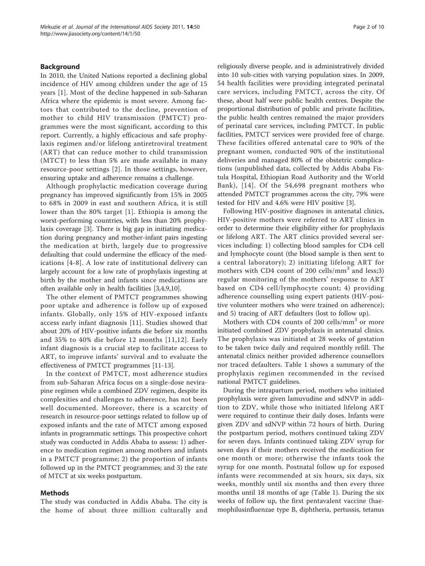# Background

In 2010, the United Nations reported a declining global incidence of HIV among children under the age of 15 years [\[1](#page-8-0)]. Most of the decline happened in sub-Saharan Africa where the epidemic is most severe. Among factors that contributed to the decline, prevention of mother to child HIV transmission (PMTCT) programmes were the most significant, according to this report. Currently, a highly efficacious and safe prophylaxis regimen and/or lifelong antiretroviral treatment (ART) that can reduce mother to child transmission (MTCT) to less than 5% are made available in many resource-poor settings [\[2](#page-8-0)]. In those settings, however, ensuring uptake and adherence remains a challenge.

Although prophylactic medication coverage during pregnancy has improved significantly from 15% in 2005 to 68% in 2009 in east and southern Africa, it is still lower than the 80% target [[1](#page-8-0)]. Ethiopia is among the worst-performing countries, with less than 20% prophylaxis coverage [[3\]](#page-8-0). There is big gap in initiating medication during pregnancy and mother-infant pairs ingesting the medication at birth, largely due to progressive defaulting that could undermine the efficacy of the medications [[4](#page-8-0)-[8](#page-8-0)]. A low rate of institutional delivery can largely account for a low rate of prophylaxis ingesting at birth by the mother and infants since medications are often available only in health facilities [\[3,4,9,10](#page-8-0)].

The other element of PMTCT programmes showing poor uptake and adherence is follow up of exposed infants. Globally, only 15% of HIV-exposed infants access early infant diagnosis [[11](#page-8-0)]. Studies showed that about 20% of HIV-positive infants die before six months and 35% to 40% die before 12 months [[11,12\]](#page-8-0). Early infant diagnosis is a crucial step to facilitate access to ART, to improve infants' survival and to evaluate the effectiveness of PMTCT programmes [[11](#page-8-0)-[13\]](#page-8-0).

In the context of PMTCT, most adherence studies from sub-Saharan Africa focus on a single-dose nevirapine regimen while a combined ZDV regimen, despite its complexities and challenges to adherence, has not been well documented. Moreover, there is a scarcity of research in resource-poor settings related to follow up of exposed infants and the rate of MTCT among exposed infants in programmatic settings. This prospective cohort study was conducted in Addis Ababa to assess: 1) adherence to medication regimen among mothers and infants in a PMTCT programme; 2) the proportion of infants followed up in the PMTCT programmes; and 3) the rate of MTCT at six weeks postpartum.

# Methods

The study was conducted in Addis Ababa. The city is the home of about three million culturally and

religiously diverse people, and is administratively divided into 10 sub-cities with varying population sizes. In 2009, 54 health facilities were providing integrated perinatal care services, including PMTCT, across the city. Of these, about half were public health centres. Despite the proportional distribution of public and private facilities, the public health centres remained the major providers of perinatal care services, including PMTCT. In public facilities, PMTCT services were provided free of charge. These facilities offered antenatal care to 90% of the pregnant women, conducted 90% of the institutional deliveries and managed 80% of the obstetric complications (unpublished data, collected by Addis Ababa Fistula Hospital, Ethiopian Road Authority and the World Bank), [[14\]](#page-8-0). Of the 54,698 pregnant mothers who attended PMTCT programmes across the city, 79% were tested for HIV and 4.6% were HIV positive [\[3](#page-8-0)].

Following HIV-positive diagnoses in antenatal clinics, HIV-positive mothers were referred to ART clinics in order to determine their eligibility either for prophylaxis or lifelong ART. The ART clinics provided several services including: 1) collecting blood samples for CD4 cell and lymphocyte count (the blood sample is then sent to a central laboratory); 2) initiating lifelong ART for mothers with CD4 count of 200 cells/ $mm<sup>3</sup>$  and less;3) regular monitoring of the mothers' response to ART based on CD4 cell/lymphocyte count; 4) providing adherence counselling using expert patients (HIV-positive volunteer mothers who were trained on adherence); and 5) tracing of ART defaulters (lost to follow up).

Mothers with CD4 counts of 200 cells/ $mm<sup>3</sup>$  or more initiated combined ZDV prophylaxis in antenatal clinics. The prophylaxis was initiated at 28 weeks of gestation to be taken twice daily and required monthly refill. The antenatal clinics neither provided adherence counsellors nor traced defaulters. Table [1](#page-2-0) shows a summary of the prophylaxis regimen recommended in the revised national PMTCT guidelines.

During the intrapartum period, mothers who initiated prophylaxis were given lamuvudine and sdNVP in addition to ZDV, while those who initiated lifelong ART were required to continue their daily doses. Infants were given ZDV and sdNVP within 72 hours of birth. During the postpartum period, mothers continued taking ZDV for seven days. Infants continued taking ZDV syrup for seven days if their mothers received the medication for one month or more; otherwise the infants took the syrup for one month. Postnatal follow up for exposed infants were recommended at six hours, six days, six weeks, monthly until six months and then every three months until 18 months of age (Table [1\)](#page-2-0). During the six weeks of follow up, the first pentavalent vaccine (haemophilusinfluenzae type B, diphtheria, pertussis, tetanus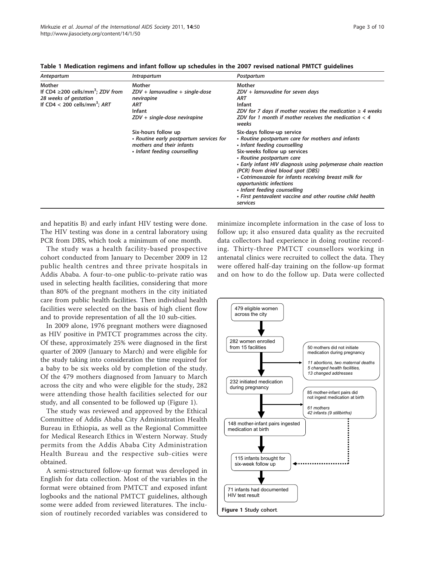| Antepartum                                                                                                                        | <i>Intrapartum</i>                                                                                                          | Postpartum                                                                                                                                                                                                                                                                                                                                                                                                                                                                       |
|-----------------------------------------------------------------------------------------------------------------------------------|-----------------------------------------------------------------------------------------------------------------------------|----------------------------------------------------------------------------------------------------------------------------------------------------------------------------------------------------------------------------------------------------------------------------------------------------------------------------------------------------------------------------------------------------------------------------------------------------------------------------------|
| Mother<br>If CD4 $\geq$ 200 cells/mm <sup>3</sup> : ZDV from<br>28 weeks of gestation<br>If CD4 < 200 cells/mm <sup>3</sup> : ART | Mother<br>$ZDV$ + lamuvudine + single-dose<br>nevirapine<br><b>ART</b><br><b>Infant</b><br>ZDV + single-dose nevirapine     | Mother<br>ZDV + lamuvudine for seven days<br>ART<br>Infant<br>ZDV for 7 days if mother receives the medication $\geq 4$ weeks<br>ZDV for 1 month if mother receives the medication $<$ 4<br>weeks                                                                                                                                                                                                                                                                                |
|                                                                                                                                   | Six-hours follow up<br>• Routine early postpartum services for<br>mothers and their infants<br>• Infant feeding counselling | Six-days follow-up service<br>• Routine postpartum care for mothers and infants<br>• Infant feeding counselling<br>Six-weeks follow up services<br>• Routine postpartum care<br>• Early infant HIV diagnosis using polymerase chain reaction<br>(PCR) from dried blood spot (DBS)<br>• Cotrimoxazole for infants receiving breast milk for<br>opportunistic infections<br>• Infant feeding counselling<br>• First pentavalent vaccine and other routine child health<br>services |

<span id="page-2-0"></span>Table 1 Medication regimens and infant follow up schedules in the 2007 revised national PMTCT guidelines

and hepatitis B) and early infant HIV testing were done. The HIV testing was done in a central laboratory using PCR from DBS, which took a minimum of one month.

The study was a health facility-based prospective cohort conducted from January to December 2009 in 12 public health centres and three private hospitals in Addis Ababa. A four-to-one public-to-private ratio was used in selecting health facilities, considering that more than 80% of the pregnant mothers in the city initiated care from public health facilities. Then individual health facilities were selected on the basis of high client flow and to provide representation of all the 10 sub-cities.

In 2009 alone, 1976 pregnant mothers were diagnosed as HIV positive in PMTCT programmes across the city. Of these, approximately 25% were diagnosed in the first quarter of 2009 (January to March) and were eligible for the study taking into consideration the time required for a baby to be six weeks old by completion of the study. Of the 479 mothers diagnosed from January to March across the city and who were eligible for the study, 282 were attending those health facilities selected for our study, and all consented to be followed up (Figure 1).

The study was reviewed and approved by the Ethical Committee of Addis Ababa City Administration Health Bureau in Ethiopia, as well as the Regional Committee for Medical Research Ethics in Western Norway. Study permits from the Addis Ababa City Administration Health Bureau and the respective sub-cities were obtained.

A semi-structured follow-up format was developed in English for data collection. Most of the variables in the format were obtained from PMTCT and exposed infant logbooks and the national PMTCT guidelines, although some were added from reviewed literatures. The inclusion of routinely recorded variables was considered to minimize incomplete information in the case of loss to follow up; it also ensured data quality as the recruited data collectors had experience in doing routine recording. Thirty-three PMTCT counsellors working in antenatal clinics were recruited to collect the data. They were offered half-day training on the follow-up format and on how to do the follow up. Data were collected

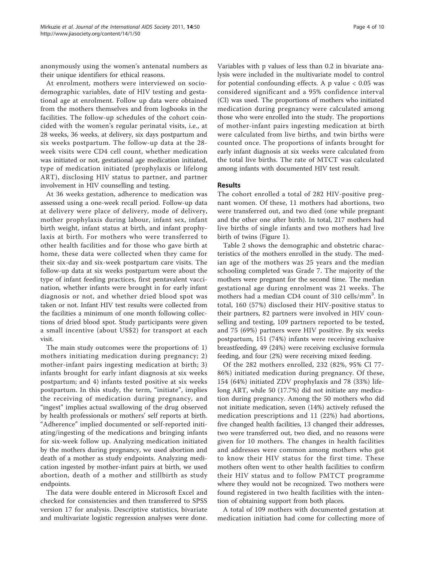anonymously using the women's antenatal numbers as their unique identifiers for ethical reasons.

At enrolment, mothers were interviewed on sociodemographic variables, date of HIV testing and gestational age at enrolment. Follow up data were obtained from the mothers themselves and from logbooks in the facilities. The follow-up schedules of the cohort coincided with the women's regular perinatal visits, i.e., at 28 weeks, 36 weeks, at delivery, six days postpartum and six weeks postpartum. The follow-up data at the 28 week visits were CD4 cell count, whether medication was initiated or not, gestational age medication initiated, type of medication initiated (prophylaxis or lifelong ART), disclosing HIV status to partner, and partner involvement in HIV counselling and testing.

At 36 weeks gestation, adherence to medication was assessed using a one-week recall period. Follow-up data at delivery were place of delivery, mode of delivery, mother prophylaxis during labour, infant sex, infant birth weight, infant status at birth, and infant prophylaxis at birth. For mothers who were transferred to other health facilities and for those who gave birth at home, these data were collected when they came for their six-day and six-week postpartum care visits. The follow-up data at six weeks postpartum were about the type of infant feeding practices, first pentavalent vaccination, whether infants were brought in for early infant diagnosis or not, and whether dried blood spot was taken or not. Infant HIV test results were collected from the facilities a minimum of one month following collections of dried blood spot. Study participants were given a small incentive (about US\$2) for transport at each visit.

The main study outcomes were the proportions of: 1) mothers initiating medication during pregnancy; 2) mother-infant pairs ingesting medication at birth; 3) infants brought for early infant diagnosis at six weeks postpartum; and 4) infants tested positive at six weeks postpartum. In this study, the term, "initiate", implies the receiving of medication during pregnancy, and "ingest" implies actual swallowing of the drug observed by health professionals or mothers' self reports at birth. "Adherence" implied documented or self-reported initiating/ingesting of the medications and bringing infants for six-week follow up. Analyzing medication initiated by the mothers during pregnancy, we used abortion and death of a mother as study endpoints. Analyzing medication ingested by mother-infant pairs at birth, we used abortion, death of a mother and stillbirth as study endpoints.

The data were double entered in Microsoft Excel and checked for consistencies and then transferred to SPSS version 17 for analysis. Descriptive statistics, bivariate and multivariate logistic regression analyses were done.

Variables with p values of less than 0.2 in bivariate analysis were included in the multivariate model to control for potential confounding effects. A p value < 0.05 was considered significant and a 95% confidence interval (CI) was used. The proportions of mothers who initiated medication during pregnancy were calculated among those who were enrolled into the study. The proportions of mother-infant pairs ingesting medication at birth were calculated from live births, and twin births were counted once. The proportions of infants brought for early infant diagnosis at six weeks were calculated from the total live births. The rate of MTCT was calculated among infants with documented HIV test result.

## Results

The cohort enrolled a total of 282 HIV-positive pregnant women. Of these, 11 mothers had abortions, two were transferred out, and two died (one while pregnant and the other one after birth). In total, 217 mothers had live births of single infants and two mothers had live birth of twins (Figure [1\)](#page-2-0).

Table [2](#page-4-0) shows the demographic and obstetric characteristics of the mothers enrolled in the study. The median age of the mothers was 25 years and the median schooling completed was Grade 7. The majority of the mothers were pregnant for the second time. The median gestational age during enrolment was 21 weeks. The mothers had a median CD4 count of 310 cells/mm<sup>3</sup>. In total, 160 (57%) disclosed their HIV-positive status to their partners, 82 partners were involved in HIV counselling and testing, 109 partners reported to be tested, and 75 (69%) partners were HIV positive. By six weeks postpartum, 151 (74%) infants were receiving exclusive breastfeeding, 49 (24%) were receiving exclusive formula feeding, and four (2%) were receiving mixed feeding.

Of the 282 mothers enrolled, 232 (82%, 95% CI 77- 86%) initiated medication during pregnancy. Of these, 154 (64%) initiated ZDV prophylaxis and 78 (33%) lifelong ART, while 50 (17.7%) did not initiate any medication during pregnancy. Among the 50 mothers who did not initiate medication, seven (14%) actively refused the medication prescriptions and 11 (22%) had abortions, five changed health facilities, 13 changed their addresses, two were transferred out, two died, and no reasons were given for 10 mothers. The changes in health facilities and addresses were common among mothers who got to know their HIV status for the first time. These mothers often went to other health facilities to confirm their HIV status and to follow PMTCT programme where they would not be recognized. Two mothers were found registered in two health facilities with the intention of obtaining support from both places.

A total of 109 mothers with documented gestation at medication initiation had come for collecting more of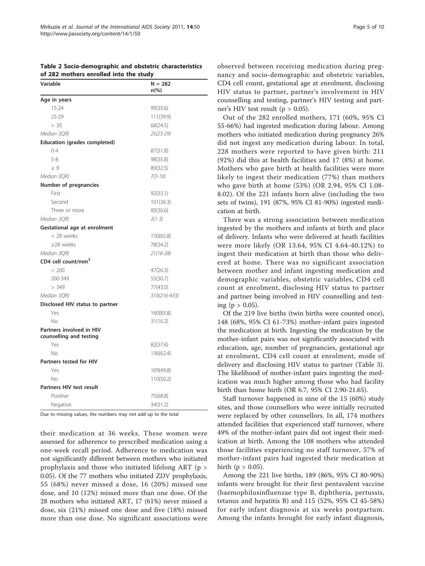<span id="page-4-0"></span>Table 2 Socio-demographic and obstetric characteristics of 282 mothers enrolled into the study

| Variable                                            | $N = 282$<br>$n\frac{6}{6}$ |
|-----------------------------------------------------|-----------------------------|
| Age in years                                        |                             |
| $15 - 24$                                           | 99(35.6)                    |
| 25-29                                               | 111(39.9)                   |
| > 30                                                | 68(24.5)                    |
| Median (IOR)                                        | $25(23 - 29)$               |
| Education (grades completed)                        |                             |
| $() - 4$                                            | 87(31.8)                    |
| $5 - 8$                                             | 98(35.8)                    |
| $\geq 9$                                            | 89(32.5)                    |
| Median (IQR)                                        | $7(3-10)$                   |
| Number of pregnancies                               |                             |
| First                                               | 92(33.1)                    |
| Second                                              | 101(36.3)                   |
| Three or more                                       | 85(30.6)                    |
| Median (IQR)                                        | $2(1-3)$                    |
| Gestational age at enrolment                        |                             |
| < 28 weeks                                          | 150(65.8)                   |
| ≥28 weeks                                           | 78(34.2)                    |
| Median (IQR)                                        | $21(16-28)$                 |
| CD4 cell count/mm <sup>3</sup>                      |                             |
| < 200                                               | 47(26.3)                    |
| 200-349                                             | 55(30.7)                    |
| > 349                                               | 77(43.0)                    |
| Median (IQR)                                        | 310(216-433)                |
| Disclosed HIV status to partner                     |                             |
| Yes                                                 | 160(83.8)                   |
| No                                                  | 31(16.2)                    |
| Partners involved in HIV<br>counselling and testing |                             |
| Yes                                                 | 82(37.6)                    |
| No                                                  | 136(62.4)                   |
| <b>Partners tested for HIV</b>                      |                             |
| Yes                                                 | 109(49.8)                   |
| No                                                  | 110(50.2)                   |
| Partners HIV test result                            |                             |
| Positive                                            | 75(68.8)                    |
| Negative                                            | 34(31.2)                    |

Due to missing values, the numbers may not add up to the total

their medication at 36 weeks. These women were assessed for adherence to prescribed medication using a one-week recall period. Adherence to medication was not significantly different between mothers who initiated prophylaxis and those who initiated lifelong ART (p > 0.05). Of the 77 mothers who initiated ZDV prophylaxis, 55 (68%) never missed a dose, 16 (20%) missed one dose, and 10 (12%) missed more than one dose. Of the 28 mothers who initiated ART, 17 (61%) never missed a dose, six (21%) missed one dose and five (18%) missed more than one dose. No significant associations were

observed between receiving medication during pregnancy and socio-demographic and obstetric variables, CD4 cell count, gestational age at enrolment, disclosing HIV status to partner, partner's involvement in HIV counselling and testing, partner's HIV testing and partner's HIV test result ( $p > 0.05$ ).

Out of the 282 enrolled mothers, 171 (60%, 95% CI 55-66%) had ingested medication during labour. Among mothers who initiated medication during pregnancy 26% did not ingest any medication during labour. In total, 228 mothers were reported to have given birth: 211 (92%) did this at health facilities and 17 (8%) at home. Mothers who gave birth at health facilities were more likely to ingest their medication (77%) than mothers who gave birth at home (53%) (OR 2.94, 95% CI 1.08- 8.02). Of the 221 infants born alive (including the two sets of twins), 191 (87%, 95% CI 81-90%) ingested medication at birth.

There was a strong association between medication ingested by the mothers and infants at birth and place of delivery. Infants who were delivered at heath facilities were more likely (OR 13.64, 95% CI 4.64-40.12%) to ingest their medication at birth than those who delivered at home. There was no significant association between mother and infant ingesting medication and demographic variables, obstetric variables, CD4 cell count at enrolment, disclosing HIV status to partner and partner being involved in HIV counselling and testing ( $p > 0.05$ ).

Of the 219 live births (twin births were counted once), 148 (68%, 95% CI 61-73%) mother-infant pairs ingested the medication at birth. Ingesting the medication by the mother-infant pairs was not significantly associated with education, age, number of pregnancies, gestational age at enrolment, CD4 cell count at enrolment, mode of delivery and disclosing HIV status to partner (Table [3](#page-5-0)). The likelihood of mother-infant pairs ingesting the medication was much higher among those who had facility birth than home birth (OR 6.7, 95% CI 2.90-21.65).

Staff turnover happened in nine of the 15 (60%) study sites, and those counsellors who were initially recruited were replaced by other counsellors. In all, 174 mothers attended facilities that experienced staff turnover, where 49% of the mother-infant pairs did not ingest their medication at birth. Among the 108 mothers who attended those facilities experiencing no staff turnover, 57% of mother-infant pairs had ingested their medication at birth ( $p > 0.05$ ).

Among the 221 live births, 189 (86%, 95% CI 80-90%) infants were brought for their first pentavalent vaccine (haemophilusinfluenzae type B, diphtheria, pertussis, tetanus and hepatitis B) and 115 (52%, 95% CI 45-58%) for early infant diagnosis at six weeks postpartum. Among the infants brought for early infant diagnosis,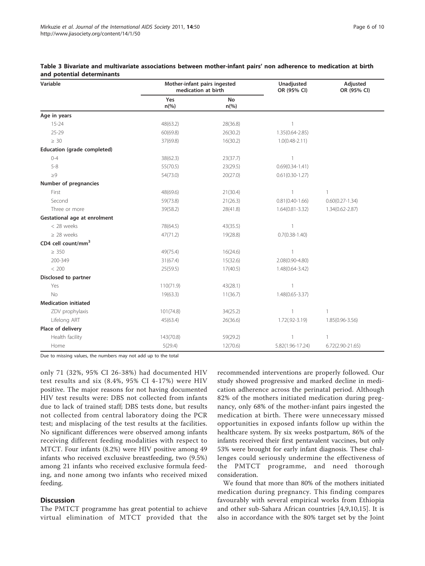| Variable                     | Mother-infant pairs ingested<br>medication at birth |                             | Unadjusted<br>OR (95% CI) | Adjusted<br>OR (95% CI) |
|------------------------------|-----------------------------------------------------|-----------------------------|---------------------------|-------------------------|
|                              | Yes<br>$n\frac{6}{6}$                               | <b>No</b><br>$n\frac{6}{6}$ |                           |                         |
| Age in years                 |                                                     |                             |                           |                         |
| $15 - 24$                    | 48(63.2)                                            | 28(36.8)                    | 1                         |                         |
| $25 - 29$                    | 60(69.8)                                            | 26(30.2)                    | 1.35(0.64-2.85)           |                         |
| $\geq 30$                    | 37(69.8)                                            | 16(30.2)                    | $1.0(0.48 - 2.11)$        |                         |
| Education (grade completed)  |                                                     |                             |                           |                         |
| $0 - 4$                      | 38(62.3)                                            | 23(37.7)                    | $\overline{1}$            |                         |
| $5 - 8$                      | 55(70.5)                                            | 23(29.5)                    | $0.69(0.34 - 1.41)$       |                         |
| $\geq 9$                     | 54(73.0)                                            | 20(27.0)                    | $0.61(0.30-1.27)$         |                         |
| Number of pregnancies        |                                                     |                             |                           |                         |
| First                        | 48(69.6)                                            | 21(30.4)                    | $\mathbf{1}$              | $\mathbf{1}$            |
| Second                       | 59(73.8)                                            | 21(26.3)                    | $0.81(0.40 - 1.66)$       | $0.60(0.27 - 1.34)$     |
| Three or more                | 39(58.2)                                            | 28(41.8)                    | $1.64(0.81 - 3.32)$       | 1.34(0.62-2.87)         |
| Gestational age at enrolment |                                                     |                             |                           |                         |
| < 28 weeks                   | 78(64.5)                                            | 43(35.5)                    | $\mathbf{1}$              |                         |
| $\geq$ 28 weeks              | 47(71.2)                                            | 19(28.8)                    | $0.7(0.38 - 1.40)$        |                         |
| CD4 cell count/mm $3$        |                                                     |                             |                           |                         |
| $\geq 350$                   | 49(75.4)                                            | 16(24.6)                    | 1                         |                         |
| 200-349                      | 31(67.4)                                            | 15(32.6)                    | 2.08(0.90-4.80)           |                         |
| < 200                        | 25(59.5)                                            | 17(40.5)                    | 1.48(0.64-3.42)           |                         |
| Disclosed to partner         |                                                     |                             |                           |                         |
| Yes                          | 110(71.9)                                           | 43(28.1)                    | $\mathbf{1}$              |                         |
| <b>No</b>                    | 19(63.3)                                            | 11(36.7)                    | $1.48(0.65 - 3.37)$       |                         |
| <b>Medication initiated</b>  |                                                     |                             |                           |                         |
| ZDV prophylaxis              | 101(74.8)                                           | 34(25.2)                    | $\mathbf{1}$              | 1                       |
| Lifelong ART                 | 45(63.4)                                            | 26(36.6)                    | $1.72(.92 - 3.19)$        | $1.85(0.96 - 3.56)$     |
| Place of delivery            |                                                     |                             |                           |                         |
| Health facility              | 143(70.8)                                           | 59(29.2)                    | $\mathbf{1}$              | $\mathbf{1}$            |
| Home                         | 5(29.4)                                             | 12(70.6)                    | 5.82(1.96-17.24)          | $6.72(2.90-21.65)$      |

<span id="page-5-0"></span>Table 3 Bivariate and multivariate associations between mother-infant pairs' non adherence to medication at birth and potential determinants

Due to missing values, the numbers may not add up to the total

only 71 (32%, 95% CI 26-38%) had documented HIV test results and six (8.4%, 95% CI 4-17%) were HIV positive. The major reasons for not having documented HIV test results were: DBS not collected from infants due to lack of trained staff; DBS tests done, but results not collected from central laboratory doing the PCR test; and misplacing of the test results at the facilities. No significant differences were observed among infants receiving different feeding modalities with respect to MTCT. Four infants (8.2%) were HIV positive among 49 infants who received exclusive breastfeeding, two (9.5%) among 21 infants who received exclusive formula feeding, and none among two infants who received mixed feeding.

# Discussion

The PMTCT programme has great potential to achieve virtual elimination of MTCT provided that the

recommended interventions are properly followed. Our study showed progressive and marked decline in medication adherence across the perinatal period. Although 82% of the mothers initiated medication during pregnancy, only 68% of the mother-infant pairs ingested the medication at birth. There were unnecessary missed opportunities in exposed infants follow up within the healthcare system. By six weeks postpartum, 86% of the infants received their first pentavalent vaccines, but only 53% were brought for early infant diagnosis. These challenges could seriously undermine the effectiveness of the PMTCT programme, and need thorough consideration.

We found that more than 80% of the mothers initiated medication during pregnancy. This finding compares favourably with several empirical works from Ethiopia and other sub-Sahara African countries [[4,9,10,15](#page-8-0)]. It is also in accordance with the 80% target set by the Joint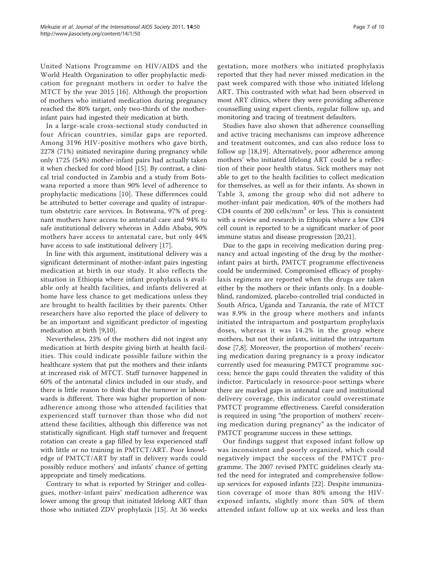United Nations Programme on HIV/AIDS and the World Health Organization to offer prophylactic medication for pregnant mothers in order to halve the MTCT by the year 2015 [[16\]](#page-8-0). Although the proportion of mothers who initiated medication during pregnancy reached the 80% target, only two-thirds of the motherinfant pairs had ingested their medication at birth.

In a large-scale cross-sectional study conducted in four African countries, similar gaps are reported. Among 3196 HIV-positive mothers who gave birth, 2278 (71%) initiated nevirapine during pregnancy while only 1725 (54%) mother-infant pairs had actually taken it when checked for cord blood [\[15\]](#page-8-0). By contrast, a clinical trial conducted in Zambia and a study from Botswana reported a more than 90% level of adherence to prophylactic medications [\[10](#page-8-0)]. These differences could be attributed to better coverage and quality of intrapartum obstetric care services. In Botswana, 97% of pregnant mothers have access to antenatal care and 94% to safe institutional delivery whereas in Addis Ababa, 90% mothers have access to antenatal care, but only 44% have access to safe institutional delivery [[17\]](#page-8-0).

In line with this argument, institutional delivery was a significant determinant of mother-infant pairs ingesting medication at birth in our study. It also reflects the situation in Ethiopia where infant prophylaxis is available only at health facilities, and infants delivered at home have less chance to get medications unless they are brought to health facilities by their parents. Other researchers have also reported the place of delivery to be an important and significant predictor of ingesting medication at birth [\[9,10\]](#page-8-0).

Nevertheless, 23% of the mothers did not ingest any medication at birth despite giving birth at health facilities. This could indicate possible failure within the healthcare system that put the mothers and their infants at increased risk of MTCT. Staff turnover happened in 60% of the antenatal clinics included in our study, and there is little reason to think that the turnover in labour wards is different. There was higher proportion of nonadherence among those who attended facilities that experienced staff turnover than those who did not attend these facilities, although this difference was not statistically significant. High staff turnover and frequent rotation can create a gap filled by less experienced staff with little or no training in PMTCT/ART. Poor knowledge of PMTCT/ART by staff in delivery wards could possibly reduce mothers' and infants' chance of getting appropriate and timely medications.

Contrary to what is reported by Stringer and colleagues, mother-infant pairs' medication adherence was lower among the group that initiated lifelong ART than those who initiated ZDV prophylaxis [[15\]](#page-8-0). At 36 weeks

gestation, more mothers who initiated prophylaxis reported that they had never missed medication in the past week compared with those who initiated lifelong ART. This contrasted with what had been observed in most ART clinics, where they were providing adherence counselling using expert clients, regular follow up, and monitoring and tracing of treatment defaulters.

Studies have also shown that adherence counselling and active tracing mechanisms can improve adherence and treatment outcomes, and can also reduce loss to follow up [\[18,19](#page-8-0)]. Alternatively, poor adherence among mothers' who initiated lifelong ART could be a reflection of their poor health status. Sick mothers may not able to get to the health facilities to collect medication for themselves, as well as for their infants. As shown in Table [3](#page-5-0), among the group who did not adhere to mother-infant pair medication, 40% of the mothers had CD4 counts of 200 cells/ $mm<sup>3</sup>$  or less. This is consistent with a review and research in Ethiopia where a low CD4 cell count is reported to be a significant marker of poor immune status and disease progression [[20,21\]](#page-8-0).

Due to the gaps in receiving medication during pregnancy and actual ingesting of the drug by the motherinfant pairs at birth, PMTCT programme effectiveness could be undermined. Compromised efficacy of prophylaxis regimens are reported when the drugs are taken either by the mothers or their infants only. In a doubleblind, randomized, placebo-controlled trial conducted in South Africa, Uganda and Tanzania, the rate of MTCT was 8.9% in the group where mothers and infants initiated the intrapartum and postpartum prophylaxis doses, whereas it was 14.2% in the group where mothers, but not their infants, initiated the intrapartum dose [[7,8\]](#page-8-0). Moreover, the proportion of mothers' receiving medication during pregnancy is a proxy indicator currently used for measuring PMTCT programme success; hence the gaps could threaten the validity of this indictor. Particularly in resource-poor settings where there are marked gaps in antenatal care and institutional delivery coverage, this indicator could overestimate PMTCT programme effectiveness. Careful consideration is required in using "the proportion of mothers' receiving medication during pregnancy" as the indicator of PMTCT programme success in these settings.

Our findings suggest that exposed infant follow up was inconsistent and poorly organized, which could negatively impact the success of the PMTCT programme. The 2007 revised PMTC guidelines clearly stated the need for integrated and comprehensive followup services for exposed infants [[22](#page-8-0)]. Despite immunization coverage of more than 80% among the HIVexposed infants, slightly more than 50% of them attended infant follow up at six weeks and less than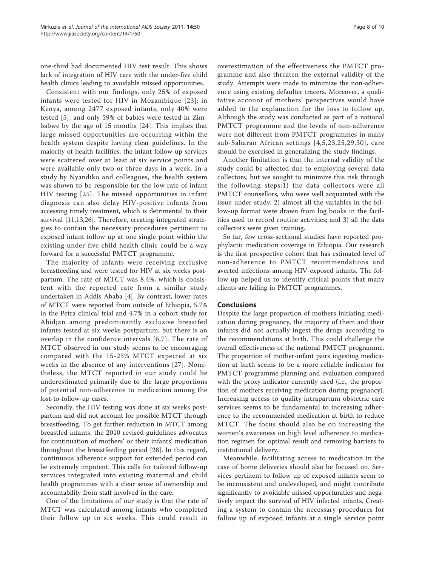one-third had documented HIV test result. This shows lack of integration of HIV care with the under-five child health clinics leading to avoidable missed opportunities.

Consistent with our findings, only 25% of exposed infants were tested for HIV in Mozambique [[23](#page-8-0)]; in Kenya, among 2477 exposed infants, only 40% were tested [[5\]](#page-8-0); and only 59% of babies were tested in Zimbabwe by the age of 15 months [[24\]](#page-8-0). This implies that large missed opportunities are occurring within the health system despite having clear guidelines. In the majority of health facilities, the infant follow-up services were scattered over at least at six service points and were available only two or three days in a week. In a study by Nyandiko and colleagues, the health system was shown to be responsible for the low rate of infant HIV testing [[25](#page-8-0)]. The missed opportunities in infant diagnosis can also delay HIV-positive infants from accessing timely treatment, which is detrimental to their survival [[11,13,](#page-8-0)[26\]](#page-9-0). Therefore, creating integrated strategies to contain the necessary procedures pertinent to exposed infant follow up at one single point within the existing under-five child health clinic could be a way forward for a successful PMTCT programme.

The majority of infants were receiving exclusive breastfeeding and were tested for HIV at six weeks postpartum. The rate of MTCT was 8.4%, which is consistent with the reported rate from a similar study undertaken in Addis Ababa [\[4](#page-8-0)]. By contrast, lower rates of MTCT were reported from outside of Ethiopia, 5.7% in the Petra clinical trial and 4.7% in a cohort study for Abidjan among predominantly exclusive breastfed infants tested at six weeks postpartum, but there is an overlap in the confidence intervals [[6](#page-8-0),[7](#page-8-0)]. The rate of MTCT observed in our study seems to be encouraging compared with the 15-25% MTCT expected at six weeks in the absence of any interventions [\[27\]](#page-9-0). Nonetheless, the MTCT reported in our study could be underestimated primarily due to the large proportions of potential non-adherence to medication among the lost-to-follow-up cases.

Secondly, the HIV testing was done at six weeks postpartum and did not account for possible MTCT through breastfeeding. To get further reduction in MTCT among breastfed infants, the 2010 revised guidelines advocates for continuation of mothers' or their infants' medication throughout the breastfeeding period [\[28](#page-9-0)]. In this regard, continuous adherence support for extended period can be extremely impotent. This calls for tailored follow-up services integrated into existing maternal and child health programmes with a clear sense of ownership and accountability from staff involved in the care.

One of the limitations of our study is that the rate of MTCT was calculated among infants who completed their follow up to six weeks. This could result in overestimation of the effectiveness the PMTCT programme and also threaten the external validity of the study. Attempts were made to minimize the non-adherence using existing defaulter tracers. Moreover, a qualitative account of mothers' perspectives would have added to the explanation for the loss to follow up. Although the study was conducted as part of a national PMTCT programme and the levels of non-adherence were not different from PMTCT programmes in many sub-Saharan African settings [[4,5,23](#page-8-0),[25,](#page-8-0)[29,30](#page-9-0)], care should be exercised in generalizing the study findings.

Another limitation is that the internal validity of the study could be affected due to employing several data collectors, but we sought to minimize this risk through the following steps:1) the data collectors were all PMTCT counsellors, who were well acquainted with the issue under study; 2) almost all the variables in the follow-up format were drawn from log books in the facilities used to record routine activities; and 3) all the data collectors were given training.

So far, few cross-sectional studies have reported prophylactic medication coverage in Ethiopia. Our research is the first prospective cohort that has estimated level of non-adherence to PMTCT recommendations and averted infections among HIV-exposed infants. The follow up helped us to identify critical points that many clients are failing in PMTCT programmes.

# Conclusions

Despite the large proportion of mothers initiating medication during pregnancy, the majority of them and their infants did not actually ingest the drugs according to the recommendations at birth. This could challenge the overall effectiveness of the national PMTCT programme. The proportion of mother-infant pairs ingesting medication at birth seems to be a more reliable indicator for PMTCT programme planning and evaluation compared with the proxy indicator currently used (i.e., the proportion of mothers receiving medication during pregnancy). Increasing access to quality intrapartum obstetric care services seems to be fundamental to increasing adherence to the recommended medication at birth to reduce MTCT. The focus should also be on increasing the women's awareness on high level adherence to medication regimen for optimal result and removing barriers to institutional delivery.

Meanwhile, facilitating access to medication in the case of home deliveries should also be focused on. Services pertinent to follow up of exposed infants seem to be inconsistent and undeveloped, and might contribute significantly to avoidable missed opportunities and negatively impact the survival of HIV infected infants. Creating a system to contain the necessary procedures for follow up of exposed infants at a single service point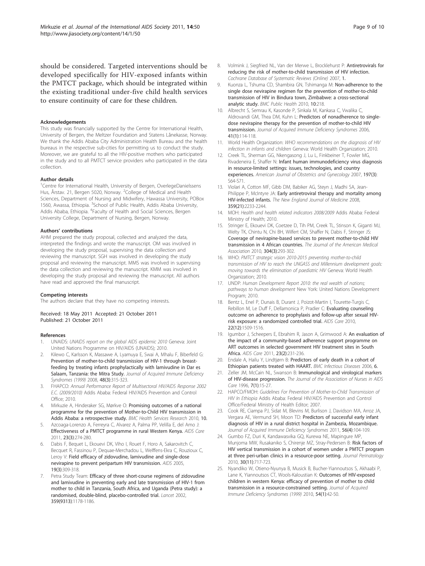<span id="page-8-0"></span>should be considered. Targeted interventions should be developed specifically for HIV-exposed infants within the PMTCT package, which should be integrated within the existing traditional under-five child health services to ensure continuity of care for these children.

#### Acknowledgements

This study was financially supported by the Centre for International Health, University of Bergen, the Meltzer Foundation and Statens Lånekasse, Norway. We thank the Addis Ababa City Administration Health Bureau and the health bureaus in the respective sub-cities for permitting us to conduct the study. Moreover, we are grateful to all the HIV-positive mothers who participated in the study and to all PMTCT service providers who participated in the data collection.

#### Author details

<sup>1</sup>Centre for International Health, University of Bergen, OverlegeDanielssens Hus, Årstav. 21, Bergen 5020, Norway. <sup>2</sup>College of Medical and Health Sciences, Department of Nursing and Midwifery, Hawassa University, POBox 1560, Awassa, Ethiopia. <sup>3</sup>School of Public Health, Addis Ababa University, Addis Ababa, Ethiopia. <sup>4</sup>Faculty of Health and Social Sciences, Bergen University College, Department of Nursing, Bergen, Norway.

#### Authors' contributions

AHM prepared the study proposal, collected and analyzed the data, interpreted the findings and wrote the manuscript. OM was involved in developing the study proposal, supervising the data collection and reviewing the manuscript. SGH was involved in developing the study proposal and reviewing the manuscript. MMS was involved in supervising the data collection and reviewing the manuscript. KMM was involved in developing the study proposal and reviewing the manuscript. All authors have read and approved the final manuscript.

#### Competing interests

The authors declare that they have no competing interests.

Received: 18 May 2011 Accepted: 21 October 2011 Published: 21 October 2011

#### References

- 1. UNAIDS: UNAIDS report on the global AIDS epidemic 2010 Geneva: Joint United Nations Programme on HIV/AIDS (UNAIDS); 2010.
- 2. Kilewo C, Karlsson K, Massawe A, Lyamuya E, Swai A, Mhalu F, Biberfeld G: Prevention of mother-to-child transmission of HIV-1 through breastfeeding by treating infants prophylactically with lamivudine in Dar es Salaam, Tanzania: the Mitra Study. Journal of Acquired Immune Deficiency Syndromes (1999) 2008, 48(3):315-323.
- 3. FHAPCO: Annual Performance Report of Multisectoral HIV/AIDS Response 2002 E.C. (2009/2010) Addis Ababa: Federal HIV/AIDS Prevention and Control Office; 2010.
- 4. Mirkuzie A, Hinderaker SG, Mørkve O: Promising outcomes of a national programme for the prevention of Mother-to-Child HIV transmission in Addis Ababa: a retrospective study. BMC Health Services Research 2010, 10.
- 5. Azcoaga-Lorenzo A, Ferreyra C, Alvarez A, Palma PP, Velilla E, del Amo J: [Effectiveness of a PMTCT programme in rural Western Kenya.](http://www.ncbi.nlm.nih.gov/pubmed/21347890?dopt=Abstract) AIDS Care 2011, 23(3):274-280.
- Dabis F, Bequet L, Ekouevi DK, Viho I, Rouet F, Horo A, Sakarovitch C, Becquet R, Fassinou P, Dequae-Merchadou L, Welffens-Ekra C, Rouzioux C, Leroy V: [Field efficacy of zidovudine, lamivudine and single-dose](http://www.ncbi.nlm.nih.gov/pubmed/15718842?dopt=Abstract) [nevirapine to prevent peripartum HIV transmission.](http://www.ncbi.nlm.nih.gov/pubmed/15718842?dopt=Abstract) AIDS 2005, 19(3):309-318.
- 7. Petra Study Team: [Efficacy of three short-course regimens of zidovudine](http://www.ncbi.nlm.nih.gov/pubmed/11955535?dopt=Abstract) [and lamivudine in preventing early and late transmission of HIV-1 from](http://www.ncbi.nlm.nih.gov/pubmed/11955535?dopt=Abstract) [mother to child in Tanzania, South Africa, and Uganda \(Petra study\): a](http://www.ncbi.nlm.nih.gov/pubmed/11955535?dopt=Abstract) [randomised, double-blind, placebo-controlled trial.](http://www.ncbi.nlm.nih.gov/pubmed/11955535?dopt=Abstract) Lancet 2002, 359(9313):1178-1186.
- 8. Volmink J, Siegfried NL, Van der Merwe L, Brocklehurst P: Antiretrovirals for reducing the risk of mother-to-child transmission of HIV infection. Cochrane Database of Systematic Reviews (Online) 2007, 1.
- 9. Kuonza L, Tshuma CD, Shambira GN, Tshimanga M: [Non-adherence to the](http://www.ncbi.nlm.nih.gov/pubmed/20426830?dopt=Abstract) [single dose nevirapine regimen for the prevention of mother-to-child](http://www.ncbi.nlm.nih.gov/pubmed/20426830?dopt=Abstract) [transmission of HIV in Bindura town, Zimbabwe: a cross-sectional](http://www.ncbi.nlm.nih.gov/pubmed/20426830?dopt=Abstract) [analytic study.](http://www.ncbi.nlm.nih.gov/pubmed/20426830?dopt=Abstract) BMC Public Health 2010, 10:218.
- 10. Albrecht S, Semrau K, Kasonde P, Sinkala M, Kankasa C, Vwalika C, Aldrovandi GM, Thea DM, Kuhn L: [Predictors of nonadherence to single](http://www.ncbi.nlm.nih.gov/pubmed/16340483?dopt=Abstract)[dose nevirapine therapy for the prevention of mother-to-child HIV](http://www.ncbi.nlm.nih.gov/pubmed/16340483?dopt=Abstract) [transmission.](http://www.ncbi.nlm.nih.gov/pubmed/16340483?dopt=Abstract) Journal of Acquired Immune Deficiency Syndromes 2006, 41(1):114-118.
- 11. World Health Organization: WHO recommendations on the diagnosis of HIV infection in infants and children Geneva: World Health Organization; 2010.
- 12. Creek TL, Sherman GG, Nkengasong J, Lu L, Finkbeiner T, Fowler MG, Rivadeneira E, Shaffer N: [Infant human immunodeficiency virus diagnosis](http://www.ncbi.nlm.nih.gov/pubmed/17825652?dopt=Abstract) [in resource-limited settings: issues, technologies, and country](http://www.ncbi.nlm.nih.gov/pubmed/17825652?dopt=Abstract) [experiences.](http://www.ncbi.nlm.nih.gov/pubmed/17825652?dopt=Abstract) American Journal of Obstetrics and Gynecology 2007, 197(3): S64-S71.
- 13. Violari A, Cotton MF, Gibb DM, Babiker AG, Steyn J, Madhi SA, Jean-Philippe P, McIntyre JA: [Early antiretroviral therapy and mortality among](http://www.ncbi.nlm.nih.gov/pubmed/19020325?dopt=Abstract) [HIV-infected infants.](http://www.ncbi.nlm.nih.gov/pubmed/19020325?dopt=Abstract) The New England Journal of Medicine 2008, 359(21):2233-2244.
- 14. MOH: Health and health related indicators 2008/2009 Addis Ababa: Federal Ministry of Health; 2010.
- 15. Stringer E, Ekouevi DK, Coetzee D, Tih PM, Creek TL, Stinson K, Giganti MJ, Welty TK, Chintu N, Chi BH, Wilfert CM, Shaffer N, Dabis F, Stringer JS: Coverage of nevirapine-based services to prevent mother-to-child HIV transmission in 4 African countries. The Journal of the American Medical Association 2010, 304(3):293-302.
- 16. WHO: PMTCT strategic vision 2010-2015 preventing mother-to-child transmission of HIV to reach the UNGASS and Millennium development goals: moving towards the elimination of paediatric HIV Geneva: World Health Organization; 2010.
- 17. UNDP: Human Development Report 2010: the real wealth of nations; pathways to human development New York: United Nations Development Program; 2010.
- 18. Bentz L, Enel P, Dunais B, Durant J, Poizot-Martin I, Tourette-Turgis C, Rebillon M, Le Duff F, Dellamonica P, Pradier C: [Evaluating counseling](http://www.ncbi.nlm.nih.gov/pubmed/20824548?dopt=Abstract) [outcome on adherence to prophylaxis and follow-up after sexual HIV](http://www.ncbi.nlm.nih.gov/pubmed/20824548?dopt=Abstract)[risk exposure: a randomized controlled trial.](http://www.ncbi.nlm.nih.gov/pubmed/20824548?dopt=Abstract) AIDS Care 2010, 22(12):1509-1516.
- 19. Igumbor J, Scheepers E, Ebrahim R, Jason A, Grimwood A: [An evaluation of](http://www.ncbi.nlm.nih.gov/pubmed/21259136?dopt=Abstract) [the impact of a community-based adherence support programme on](http://www.ncbi.nlm.nih.gov/pubmed/21259136?dopt=Abstract) [ART outcomes in selected government HIV treatment sites in South](http://www.ncbi.nlm.nih.gov/pubmed/21259136?dopt=Abstract) [Africa.](http://www.ncbi.nlm.nih.gov/pubmed/21259136?dopt=Abstract) AIDS Care 2011, 23(2):231-236.
- 20. Endale A, Hailu Y, Lindtjørn B: Predictors of early death in a cohort of Ethiopian patients treated with HAART. BMC Infectious Diseases 2006, 6.
- 21. Zeller JM, McCain NL, Swanson B: [Immunological and virological markers](http://www.ncbi.nlm.nih.gov/pubmed/9021640?dopt=Abstract) [of HIV-disease progression.](http://www.ncbi.nlm.nih.gov/pubmed/9021640?dopt=Abstract) The Journal of the Association of Nurses in AIDS Care 1996, 7(1):15-27.
- 22. HAPCO/FMOH: Guidelines For Prevention of Mother-to-Child Transmission of HIV In Ethiopia Addis Ababa: Federal HIV/AIDS Prevention and Control Office/Federal Ministry of Health Editor; 2007.
- 23. Cook RE, Ciampa PJ, Sidat M, Blevins M, Burlison J, Davidson MA, Arroz JA, Vergara AE, Vermund SH, Moon TD: Predictors of successful early infant diagnosis of HIV in a rural district hospital in Zambezia, Mozambique. Journal of Acquired Immune Deficiency Syndromes 2011, 56(4):104-109.
- 24. Gumbo FZ, Duri K, Kandawasvika GQ, Kurewa NE, Mapingure MP, Munjoma MW, Rusakaniko S, Chirenje MZ, Stray-Pedersen B: Risk factors of HIV vertical transmission in a cohort of women under a PMTCT program at three peri-urban clinics in a resource-poor setting. Journal Perinatology 2010, 30(11):717-723.
- 25. Nyandiko W, Otieno-Nyunya B, Musick B, Bucher-Yiannoutsos S, Akhaabi P, Lane K, Yiannoutsos CT, Wools-Kaloustian K: Outcomes of HIV-exposed children in western Kenya: efficacy of prevention of mother to child transmission in a resource-constrained setting. Journal of Acquired Immune Deficiency Syndromes (1999) 2010, 54(1):42-50.